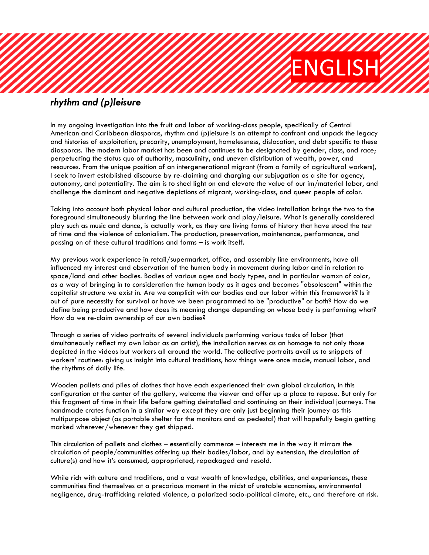## *umminin*<br>ENGLISH

## *rhythm and (p)leisure*

In my ongoing investigation into the fruit and labor of working-class people, specifically of Central American and Caribbean diasporas, rhythm and (p)leisure is an attempt to confront and unpack the legacy and histories of exploitation, precarity, unemployment, homelessness, dislocation, and debt specific to these diasporas. The modern labor market has been and continues to be designated by gender, class, and race; perpetuating the status quo of authority, masculinity, and uneven distribution of wealth, power, and resources. From the unique position of an intergenerational migrant (from a family of agricultural workers), I seek to invert established discourse by re-claiming and charging our subjugation as a site for agency, autonomy, and potentiality. The aim is to shed light on and elevate the value of our im/material labor, and challenge the dominant and negative depictions of migrant, working-class, and queer people of color.

Taking into account both physical labor and cultural production, the video installation brings the two to the foreground simultaneously blurring the line between work and play/leisure. What is generally considered play such as music and dance, is actually work, as they are living forms of history that have stood the test of time and the violence of colonialism. The production, preservation, maintenance, performance, and passing on of these cultural traditions and forms – is work itself.

My previous work experience in retail/supermarket, office, and assembly line environments, have all influenced my interest and observation of the human body in movement during labor and in relation to space/land and other bodies. Bodies of various ages and body types, and in particular womxn of color, as a way of bringing in to consideration the human body as it ages and becomes "obsolescent" within the capitalist structure we exist in. Are we complicit with our bodies and our labor within this framework? Is it out of pure necessity for survival or have we been programmed to be "productive" or both? How do we define being productive and how does its meaning change depending on whose body is performing what? How do we re-claim ownership of our own bodies?

Through a series of video portraits of several individuals performing various tasks of labor (that simultaneously reflect my own labor as an artist), the installation serves as an homage to not only those depicted in the videos but workers all around the world. The collective portraits avail us to snippets of workers' routines: giving us insight into cultural traditions, how things were once made, manual labor, and the rhythms of daily life.

Wooden pallets and piles of clothes that have each experienced their own global circulation, in this configuration at the center of the gallery, welcome the viewer and offer up a place to repose. But only for this fragment of time in their life before getting deinstalled and continuing on their individual journeys. The handmade crates function in a similar way except they are only just beginning their journey as this multipurpose object (as portable shelter for the monitors and as pedestal) that will hopefully begin getting marked wherever/whenever they get shipped.

This circulation of pallets and clothes – essentially commerce – interests me in the way it mirrors the circulation of people/communities offering up their bodies/labor, and by extension, the circulation of culture(s) and how it's consumed, appropriated, repackaged and resold.

While rich with culture and traditions, and a vast wealth of knowledge, abilities, and experiences, these communities find themselves at a precarious moment in the midst of unstable economies, environmental negligence, drug-trafficking related violence, a polarized socio-political climate, etc., and therefore at risk.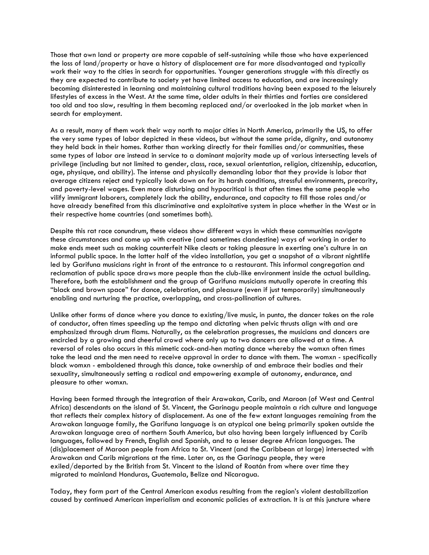Those that own land or property are more capable of self-sustaining while those who have experienced the loss of land/property or have a history of displacement are far more disadvantaged and typically work their way to the cities in search for opportunities. Younger generations struggle with this directly as they are expected to contribute to society yet have limited access to education, and are increasingly becoming disinterested in learning and maintaining cultural traditions having been exposed to the leisurely lifestyles of excess in the West. At the same time, older adults in their thirties and forties are considered too old and too slow, resulting in them becoming replaced and/or overlooked in the job market when in search for employment.

As a result, many of them work their way north to major cities in North America, primarily the US, to offer the very same types of labor depicted in these videos, but without the same pride, dignity, and autonomy they held back in their homes. Rather than working directly for their families and/or communities, these same types of labor are instead in service to a dominant majority made up of various intersecting levels of privilege (including but not limited to gender, class, race, sexual orientation, religion, citizenship, education, age, physique, and ability). The intense and physically demanding labor that they provide is labor that average citizens reject and typically look down on for its harsh conditions, stressful environments, precarity, and poverty-level wages. Even more disturbing and hypocritical is that often times the same people who vilify immigrant laborers, completely lack the ability, endurance, and capacity to fill those roles and/or have already benefited from this discriminative and exploitative system in place whether in the West or in their respective home countries (and sometimes both).

Despite this rat race conundrum, these videos show different ways in which these communities navigate these circumstances and come up with creative (and sometimes clandestine) ways of working in order to make ends meet such as making counterfeit Nike cleats or taking pleasure in exerting one's culture in an informal public space. In the latter half of the video installation, you get a snapshot of a vibrant nightlife led by Garifuna musicians right in front of the entrance to a restaurant. This informal congregation and reclamation of public space draws more people than the club-like environment inside the actual building. Therefore, both the establishment and the group of Garifuna musicians mutually operate in creating this "black and brown space" for dance, celebration, and pleasure (even if just temporarily) simultaneously enabling and nurturing the practice, overlapping, and cross-pollination of cultures.

Unlike other forms of dance where you dance to existing/live music, in punta, the dancer takes on the role of conductor, often times speeding up the tempo and dictating when pelvic thrusts align with and are emphasized through drum flams. Naturally, as the celebration progresses, the musicians and dancers are encircled by a growing and cheerful crowd where only up to two dancers are allowed at a time. A reversal of roles also occurs in this mimetic cock-and-hen mating dance whereby the womxn often times take the lead and the men need to receive approval in order to dance with them. The womxn - specifically black womxn - emboldened through this dance, take ownership of and embrace their bodies and their sexuality, simultaneously setting a radical and empowering example of autonomy, endurance, and pleasure to other womxn.

Having been formed through the integration of their Arawakan, Carib, and Maroon (of West and Central Africa) descendants on the island of St. Vincent, the Garinagu people maintain a rich culture and language that reflects their complex history of displacement. As one of the few extant languages remaining from the Arawakan language family, the Garifuna language is an atypical one being primarily spoken outside the Arawakan language area of northern South America, but also having been largely influenced by Carib languages, followed by French, English and Spanish, and to a lesser degree African languages. The (dis)placement of Maroon people from Africa to St. Vincent (and the Caribbean at large) intersected with Arawakan and Carib migrations at the time. Later on, as the Garinagu people, they were exiled/deported by the British from St. Vincent to the island of Roatán from where over time they migrated to mainland Honduras, Guatemala, Belize and Nicaragua.

Today, they form part of the Central American exodus resulting from the region's violent destabilization caused by continued American imperialism and economic policies of extraction. It is at this juncture where